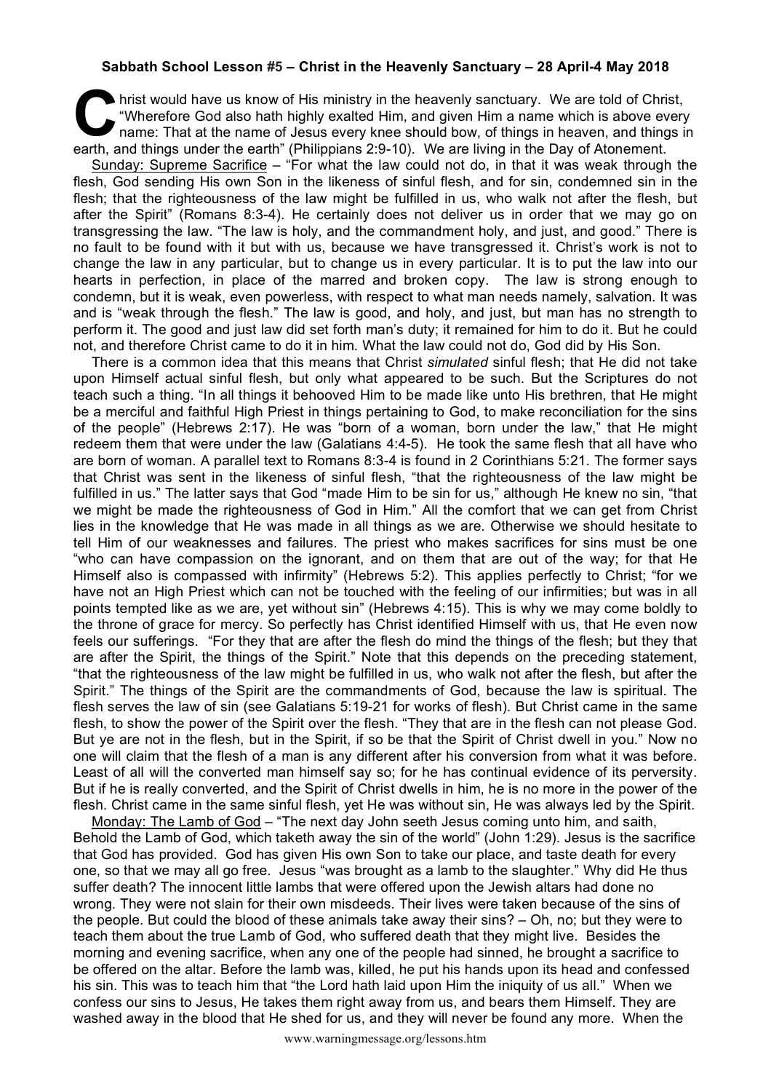## **Sabbath School Lesson #5 – Christ in the Heavenly Sanctuary – 28 April-4 May 2018**

hrist would have us know of His ministry in the heavenly sanctuary. We are told of Christ, "Wherefore God also hath highly exalted Him, and given Him a name which is above every name: That at the name of Jesus every knee should bow, of things in heaven, and things in hrist would have us know of His ministry in the heavenly sanctuary. We are told of Christ "Wherefore God also hath highly exalted Him, and given Him a name which is above every hame: That at the name of Jesus every knee sh

Sunday: Supreme Sacrifice – "For what the law could not do, in that it was weak through the flesh, God sending His own Son in the likeness of sinful flesh, and for sin, condemned sin in the flesh; that the righteousness of the law might be fulfilled in us, who walk not after the flesh, but after the Spirit" (Romans 8:3-4). He certainly does not deliver us in order that we may go on transgressing the law. "The law is holy, and the commandment holy, and just, and good." There is no fault to be found with it but with us, because we have transgressed it. Christ's work is not to change the law in any particular, but to change us in every particular. It is to put the law into our hearts in perfection, in place of the marred and broken copy. The law is strong enough to condemn, but it is weak, even powerless, with respect to what man needs namely, salvation. It was and is "weak through the flesh." The law is good, and holy, and just, but man has no strength to perform it. The good and just law did set forth man's duty; it remained for him to do it. But he could not, and therefore Christ came to do it in him. What the law could not do, God did by His Son.

There is a common idea that this means that Christ *simulated* sinful flesh; that He did not take upon Himself actual sinful flesh, but only what appeared to be such. But the Scriptures do not teach such a thing. "In all things it behooved Him to be made like unto His brethren, that He might be a merciful and faithful High Priest in things pertaining to God, to make reconciliation for the sins of the people" (Hebrews 2:17). He was "born of a woman, born under the law," that He might redeem them that were under the law (Galatians 4:4-5). He took the same flesh that all have who are born of woman. A parallel text to Romans 8:3-4 is found in 2 Corinthians 5:21. The former says that Christ was sent in the likeness of sinful flesh, "that the righteousness of the law might be fulfilled in us." The latter says that God "made Him to be sin for us," although He knew no sin, "that we might be made the righteousness of God in Him." All the comfort that we can get from Christ lies in the knowledge that He was made in all things as we are. Otherwise we should hesitate to tell Him of our weaknesses and failures. The priest who makes sacrifices for sins must be one "who can have compassion on the ignorant, and on them that are out of the way; for that He Himself also is compassed with infirmity" (Hebrews 5:2). This applies perfectly to Christ; "for we have not an High Priest which can not be touched with the feeling of our infirmities; but was in all points tempted like as we are, yet without sin" (Hebrews 4:15). This is why we may come boldly to the throne of grace for mercy. So perfectly has Christ identified Himself with us, that He even now feels our sufferings. "For they that are after the flesh do mind the things of the flesh; but they that are after the Spirit, the things of the Spirit." Note that this depends on the preceding statement, "that the righteousness of the law might be fulfilled in us, who walk not after the flesh, but after the Spirit." The things of the Spirit are the commandments of God, because the law is spiritual. The flesh serves the law of sin (see Galatians 5:19-21 for works of flesh). But Christ came in the same flesh, to show the power of the Spirit over the flesh. "They that are in the flesh can not please God. But ye are not in the flesh, but in the Spirit, if so be that the Spirit of Christ dwell in you." Now no one will claim that the flesh of a man is any different after his conversion from what it was before. Least of all will the converted man himself say so; for he has continual evidence of its perversity. But if he is really converted, and the Spirit of Christ dwells in him, he is no more in the power of the flesh. Christ came in the same sinful flesh, yet He was without sin, He was always led by the Spirit.

Monday: The Lamb of God - "The next day John seeth Jesus coming unto him, and saith, Behold the Lamb of God, which taketh away the sin of the world" (John 1:29). Jesus is the sacrifice that God has provided. God has given His own Son to take our place, and taste death for every one, so that we may all go free. Jesus "was brought as a lamb to the slaughter." Why did He thus suffer death? The innocent little lambs that were offered upon the Jewish altars had done no wrong. They were not slain for their own misdeeds. Their lives were taken because of the sins of the people. But could the blood of these animals take away their sins? – Oh, no; but they were to teach them about the true Lamb of God, who suffered death that they might live. Besides the morning and evening sacrifice, when any one of the people had sinned, he brought a sacrifice to be offered on the altar. Before the lamb was, killed, he put his hands upon its head and confessed his sin. This was to teach him that "the Lord hath laid upon Him the iniquity of us all." When we confess our sins to Jesus, He takes them right away from us, and bears them Himself. They are washed away in the blood that He shed for us, and they will never be found any more. When the